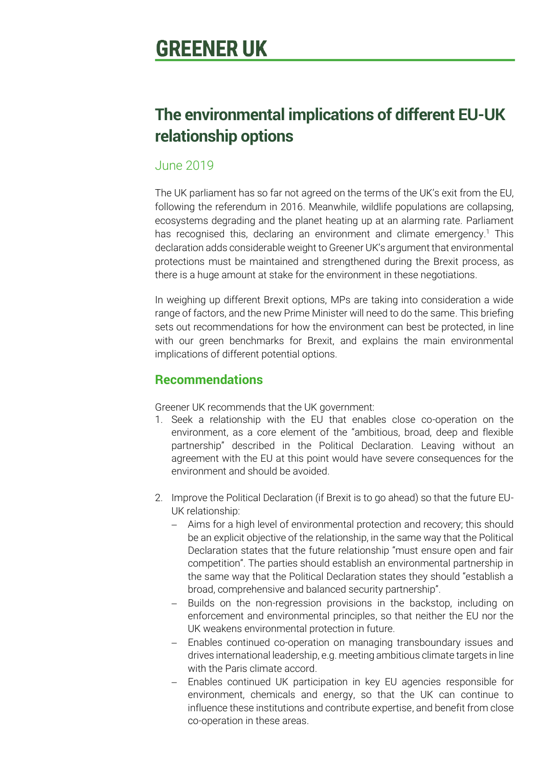# **GREENER UK**

# **The environmental implications of different EU-UK relationship options**

### June 2019

The UK parliament has so far not agreed on the terms of the UK's exit from the EU, following the referendum in 2016. Meanwhile, wildlife populations are collapsing, ecosystems degrading and the planet heating up at an alarming rate. Parliament has recognised this, declaring an environment and climate emergency.<sup>1</sup> This declaration adds considerable weight to Greener UK's argument that environmental protections must be maintained and strengthened during the Brexit process, as there is a huge amount at stake for the environment in these negotiations.

In weighing up different Brexit options, MPs are taking into consideration a wide range of factors, and the new Prime Minister will need to do the same. This briefing sets out recommendations for how the environment can best be protected, in line with our green benchmarks for Brexit, and explains the main environmental implications of different potential options.

## **Recommendations**

Greener UK recommends that the UK government:

- 1. Seek a relationship with the EU that enables close co-operation on the environment, as a core element of the "ambitious, broad, deep and flexible partnership" described in the Political Declaration. Leaving without an agreement with the EU at this point would have severe consequences for the environment and should be avoided.
- 2. Improve the Political Declaration (if Brexit is to go ahead) so that the future EU-UK relationship:
	- Aims for a high level of environmental protection and recovery; this should be an explicit objective of the relationship, in the same way that the Political Declaration states that the future relationship "must ensure open and fair competition". The parties should establish an environmental partnership in the same way that the Political Declaration states they should "establish a broad, comprehensive and balanced security partnership".
	- Builds on the non-regression provisions in the backstop, including on enforcement and environmental principles, so that neither the EU nor the UK weakens environmental protection in future.
	- Enables continued co-operation on managing transboundary issues and drives international leadership, e.g. meeting ambitious climate targets in line with the Paris climate accord.
	- Enables continued UK participation in key EU agencies responsible for environment, chemicals and energy, so that the UK can continue to influence these institutions and contribute expertise, and benefit from close co-operation in these areas.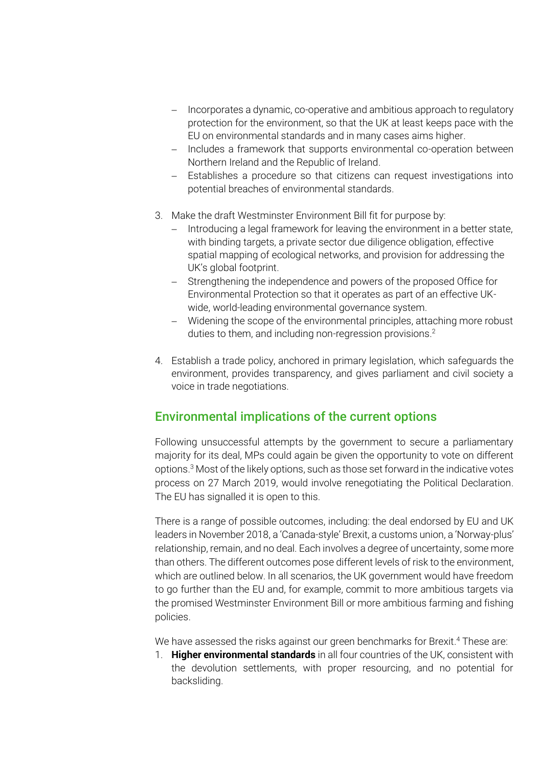- Incorporates a dynamic, co-operative and ambitious approach to regulatory protection for the environment, so that the UK at least keeps pace with the EU on environmental standards and in many cases aims higher.
- Includes a framework that supports environmental co-operation between Northern Ireland and the Republic of Ireland.
- Establishes a procedure so that citizens can request investigations into potential breaches of environmental standards.
- 3. Make the draft Westminster Environment Bill fit for purpose by:
	- Introducing a legal framework for leaving the environment in a better state, with binding targets, a private sector due diligence obligation, effective spatial mapping of ecological networks, and provision for addressing the UK's global footprint.
	- Strengthening the independence and powers of the proposed Office for Environmental Protection so that it operates as part of an effective UKwide, world-leading environmental governance system.
	- Widening the scope of the environmental principles, attaching more robust duties to them, and including non-regression provisions. 2
- 4. Establish a trade policy, anchored in primary legislation, which safeguards the environment, provides transparency, and gives parliament and civil society a voice in trade negotiations.

### Environmental implications of the current options

Following unsuccessful attempts by the government to secure a parliamentary majority for its deal, MPs could again be given the opportunity to vote on different options. <sup>3</sup> Most of the likely options, such as those set forward in the indicative votes process on 27 March 2019, would involve renegotiating the Political Declaration. The EU has signalled it is open to this.

There is a range of possible outcomes, including: the deal endorsed by EU and UK leaders in November 2018, a 'Canada-style' Brexit, a customs union, a 'Norway-plus' relationship, remain, and no deal. Each involves a degree of uncertainty, some more than others. The different outcomes pose different levels of risk to the environment, which are outlined below. In all scenarios, the UK government would have freedom to go further than the EU and, for example, commit to more ambitious targets via the promised Westminster Environment Bill or more ambitious farming and fishing policies.

We have assessed the risks against our green benchmarks for Brexit. <sup>4</sup> These are:

1. **Higher environmental standards** in all four countries of the UK, consistent with the devolution settlements, with proper resourcing, and no potential for backsliding.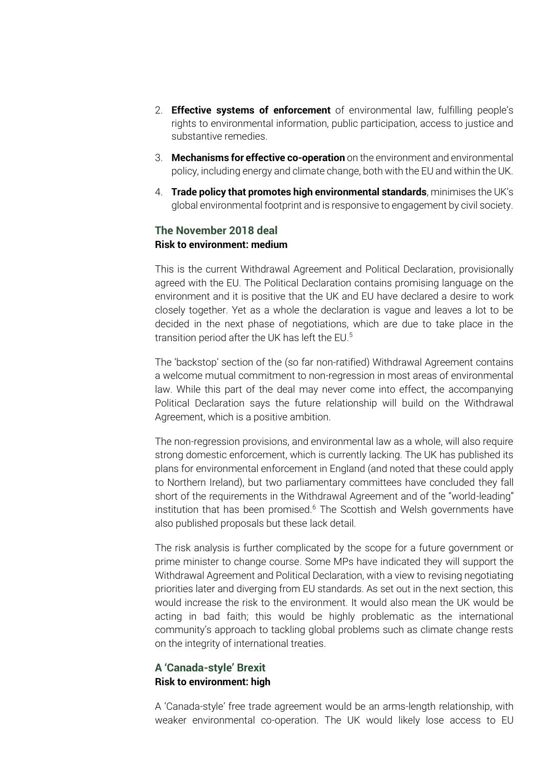- 2. **Effective systems of enforcement** of environmental law, fulfilling people's rights to environmental information, public participation, access to justice and substantive remedies.
- 3. **Mechanisms for effective co-operation** on the environment and environmental policy, including energy and climate change, both with the EU and within the UK.
- 4. **Trade policy that promotes high environmental standards**, minimises the UK's global environmental footprint and is responsive to engagement by civil society.

#### **The November 2018 deal Risk to environment: medium**

This is the current Withdrawal Agreement and Political Declaration, provisionally agreed with the EU. The Political Declaration contains promising language on the environment and it is positive that the UK and EU have declared a desire to work closely together. Yet as a whole the declaration is vague and leaves a lot to be decided in the next phase of negotiations, which are due to take place in the transition period after the UK has left the EU. 5

The 'backstop' section of the (so far non-ratified) Withdrawal Agreement contains a welcome mutual commitment to non-regression in most areas of environmental law. While this part of the deal may never come into effect, the accompanying Political Declaration says the future relationship will build on the Withdrawal Agreement, which is a positive ambition.

The non-regression provisions, and environmental law as a whole, will also require strong domestic enforcement, which is currently lacking. The UK has published its plans for environmental enforcement in England (and noted that these could apply to Northern Ireland), but two parliamentary committees have concluded they fall short of the requirements in the Withdrawal Agreement and of the "world-leading" institution that has been promised.<sup>6</sup> The Scottish and Welsh governments have also published proposals but these lack detail.

The risk analysis is further complicated by the scope for a future government or prime minister to change course. Some MPs have indicated they will support the Withdrawal Agreement and Political Declaration, with a view to revising negotiating priorities later and diverging from EU standards. As set out in the next section, this would increase the risk to the environment. It would also mean the UK would be acting in bad faith; this would be highly problematic as the international community's approach to tackling global problems such as climate change rests on the integrity of international treaties.

#### **A 'Canada-style' Brexit Risk to environment: high**

A 'Canada-style' free trade agreement would be an arms-length relationship, with weaker environmental co-operation. The UK would likely lose access to EU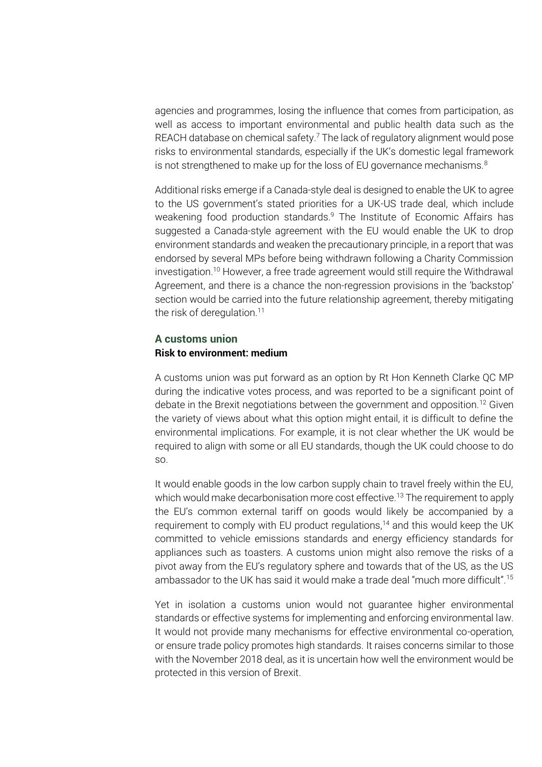agencies and programmes, losing the influence that comes from participation, as well as access to important environmental and public health data such as the REACH database on chemical safety. <sup>7</sup> The lack of regulatory alignment would pose risks to environmental standards, especially if the UK's domestic legal framework is not strengthened to make up for the loss of EU governance mechanisms. $8<sup>8</sup>$ 

Additional risks emerge if a Canada-style deal is designed to enable the UK to agree to the US government's stated priorities for a UK-US trade deal, which include weakening food production standards. <sup>9</sup> The Institute of Economic Affairs has suggested a Canada-style agreement with the EU would enable the UK to drop environment standards and weaken the precautionary principle, in a report that was endorsed by several MPs before being withdrawn following a Charity Commission investigation. <sup>10</sup> However, a free trade agreement would still require the Withdrawal Agreement, and there is a chance the non-regression provisions in the 'backstop' section would be carried into the future relationship agreement, thereby mitigating the risk of deregulation.<sup>11</sup>

#### **A customs union Risk to environment: medium**

A customs union was put forward as an option by Rt Hon Kenneth Clarke QC MP during the indicative votes process, and was reported to be a significant point of debate in the Brexit negotiations between the government and opposition.<sup>12</sup> Given the variety of views about what this option might entail, it is difficult to define the environmental implications. For example, it is not clear whether the UK would be required to align with some or all EU standards, though the UK could choose to do so.

It would enable goods in the low carbon supply chain to travel freely within the EU, which would make decarbonisation more cost effective.<sup>13</sup> The requirement to apply the EU's common external tariff on goods would likely be accompanied by a requirement to comply with EU product regulations,<sup>14</sup> and this would keep the UK committed to vehicle emissions standards and energy efficiency standards for appliances such as toasters. A customs union might also remove the risks of a pivot away from the EU's regulatory sphere and towards that of the US, as the US ambassador to the UK has said it would make a trade deal "much more difficult".<sup>15</sup>

Yet in isolation a customs union would not guarantee higher environmental standards or effective systems for implementing and enforcing environmental law. It would not provide many mechanisms for effective environmental co-operation, or ensure trade policy promotes high standards. It raises concerns similar to those with the November 2018 deal, as it is uncertain how well the environment would be protected in this version of Brexit.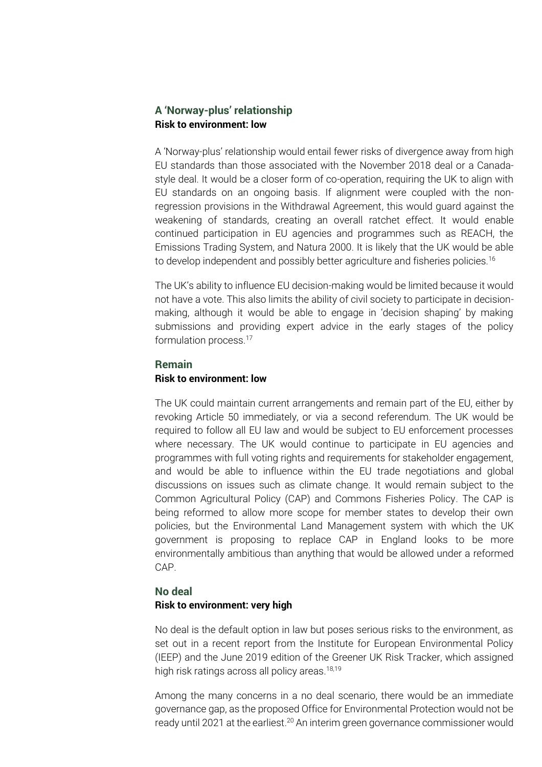#### **A 'Norway-plus' relationship Risk to environment: low**

A 'Norway-plus' relationship would entail fewer risks of divergence away from high EU standards than those associated with the November 2018 deal or a Canadastyle deal. It would be a closer form of co-operation, requiring the UK to align with EU standards on an ongoing basis. If alignment were coupled with the nonregression provisions in the Withdrawal Agreement, this would guard against the weakening of standards, creating an overall ratchet effect. It would enable continued participation in EU agencies and programmes such as REACH, the Emissions Trading System, and Natura 2000. It is likely that the UK would be able to develop independent and possibly better agriculture and fisheries policies.<sup>16</sup>

The UK's ability to influence EU decision-making would be limited because it would not have a vote. This also limits the ability of civil society to participate in decisionmaking, although it would be able to engage in 'decision shaping' by making submissions and providing expert advice in the early stages of the policy formulation process.<sup>17</sup>

#### **Remain Risk to environment: low**

The UK could maintain current arrangements and remain part of the EU, either by revoking Article 50 immediately, or via a second referendum. The UK would be required to follow all EU law and would be subject to EU enforcement processes where necessary. The UK would continue to participate in EU agencies and programmes with full voting rights and requirements for stakeholder engagement, and would be able to influence within the EU trade negotiations and global discussions on issues such as climate change. It would remain subject to the Common Agricultural Policy (CAP) and Commons Fisheries Policy. The CAP is being reformed to allow more scope for member states to develop their own policies, but the Environmental Land Management system with which the UK government is proposing to replace CAP in England looks to be more environmentally ambitious than anything that would be allowed under a reformed CAP.

#### **No deal**

#### **Risk to environment: very high**

No deal is the default option in law but poses serious risks to the environment, as set out in a recent report from the Institute for European Environmental Policy (IEEP) and the June 2019 edition of the Greener UK Risk Tracker, which assigned high risk ratings across all policy areas.<sup>18,19</sup>

Among the many concerns in a no deal scenario, there would be an immediate governance gap, as the proposed Office for Environmental Protection would not be ready until 2021 at the earliest.<sup>20</sup> An interim green governance commissioner would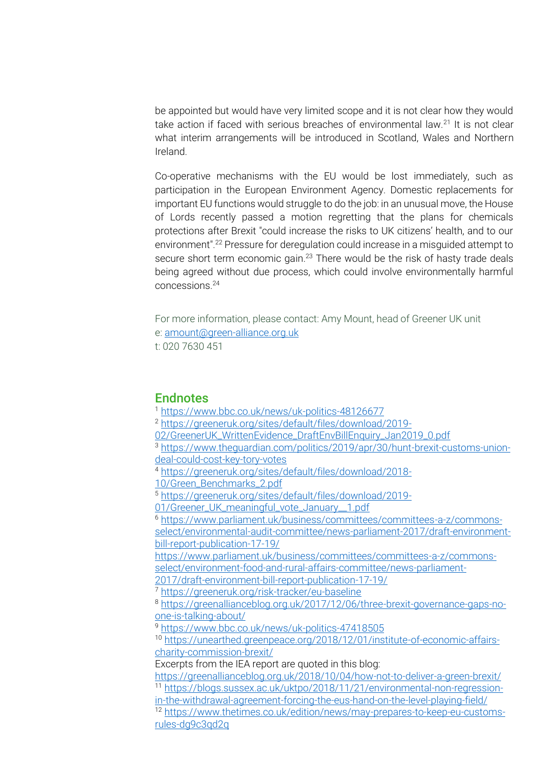be appointed but would have very limited scope and it is not clear how they would take action if faced with serious breaches of environmental law.<sup>21</sup> It is not clear what interim arrangements will be introduced in Scotland, Wales and Northern Ireland.

Co-operative mechanisms with the EU would be lost immediately, such as participation in the European Environment Agency. Domestic replacements for important EU functions would struggle to do the job: in an unusual move, the House of Lords recently passed a motion regretting that the plans for chemicals protections after Brexit "could increase the risks to UK citizens' health, and to our environment".<sup>22</sup> Pressure for deregulation could increase in a misguided attempt to secure short term economic gain.<sup>23</sup> There would be the risk of hasty trade deals being agreed without due process, which could involve environmentally harmful concessions<sup>24</sup>

For more information, please contact: Amy Mount, head of Greener UK unit e: [amount@green-alliance.org.uk](mailto:amount@green-alliance.org.uk) t: 020 7630 451

#### **Endnotes**

<sup>1</sup> <https://www.bbc.co.uk/news/uk-politics-48126677> <sup>2</sup> [https://greeneruk.org/sites/default/files/download/2019-](https://greeneruk.org/sites/default/files/download/2019-02/GreenerUK_WrittenEvidence_DraftEnvBillEnquiry_Jan2019_0.pdf) [02/GreenerUK\\_WrittenEvidence\\_DraftEnvBillEnquiry\\_Jan2019\\_0.pdf](https://greeneruk.org/sites/default/files/download/2019-02/GreenerUK_WrittenEvidence_DraftEnvBillEnquiry_Jan2019_0.pdf) <sup>3</sup> [https://www.theguardian.com/politics/2019/apr/30/hunt-brexit-customs-union](https://www.theguardian.com/politics/2019/apr/30/hunt-brexit-customs-union-deal-could-cost-key-tory-votes)[deal-could-cost-key-tory-votes](https://www.theguardian.com/politics/2019/apr/30/hunt-brexit-customs-union-deal-could-cost-key-tory-votes) <sup>4</sup> [https://greeneruk.org/sites/default/files/download/2018-](https://greeneruk.org/sites/default/files/download/2018-10/Green_Benchmarks_2.pdf) [10/Green\\_Benchmarks\\_2.pdf](https://greeneruk.org/sites/default/files/download/2018-10/Green_Benchmarks_2.pdf) <sup>5</sup> [https://greeneruk.org/sites/default/files/download/2019-](https://greeneruk.org/sites/default/files/download/2019-01/Greener_UK_meaningful_vote_January__1.pdf) [01/Greener\\_UK\\_meaningful\\_vote\\_January\\_\\_1.pdf](https://greeneruk.org/sites/default/files/download/2019-01/Greener_UK_meaningful_vote_January__1.pdf) <sup>6</sup> [https://www.parliament.uk/business/committees/committees-a-z/commons](https://www.parliament.uk/business/committees/committees-a-z/commons-select/environmental-audit-committee/news-parliament-2017/draft-environment-bill-report-publication-17-19/)[select/environmental-audit-committee/news-parliament-2017/draft-environment](https://www.parliament.uk/business/committees/committees-a-z/commons-select/environmental-audit-committee/news-parliament-2017/draft-environment-bill-report-publication-17-19/)[bill-report-publication-17-19/](https://www.parliament.uk/business/committees/committees-a-z/commons-select/environmental-audit-committee/news-parliament-2017/draft-environment-bill-report-publication-17-19/) [https://www.parliament.uk/business/committees/committees-a-z/commons](https://www.parliament.uk/business/committees/committees-a-z/commons-select/environment-food-and-rural-affairs-committee/news-parliament-2017/draft-environment-bill-report-publication-17-19/)[select/environment-food-and-rural-affairs-committee/news-parliament-](https://www.parliament.uk/business/committees/committees-a-z/commons-select/environment-food-and-rural-affairs-committee/news-parliament-2017/draft-environment-bill-report-publication-17-19/)[2017/draft-environment-bill-report-publication-17-19/](https://www.parliament.uk/business/committees/committees-a-z/commons-select/environment-food-and-rural-affairs-committee/news-parliament-2017/draft-environment-bill-report-publication-17-19/) <sup>7</sup> <https://greeneruk.org/risk-tracker/eu-baseline> <sup>8</sup> [https://greenallianceblog.org.uk/2017/12/06/three-brexit-governance-gaps-no](https://greenallianceblog.org.uk/2017/12/06/three-brexit-governance-gaps-no-one-is-talking-about/)[one-is-talking-about/](https://greenallianceblog.org.uk/2017/12/06/three-brexit-governance-gaps-no-one-is-talking-about/) <sup>9</sup> <https://www.bbc.co.uk/news/uk-politics-47418505> <sup>10</sup> [https://unearthed.greenpeace.org/2018/12/01/institute-of-economic-affairs](https://unearthed.greenpeace.org/2018/12/01/institute-of-economic-affairs-charity-commission-brexit/)[charity-commission-brexit/](https://unearthed.greenpeace.org/2018/12/01/institute-of-economic-affairs-charity-commission-brexit/) Excerpts from the IEA report are quoted in this blog: <https://greenallianceblog.org.uk/2018/10/04/how-not-to-deliver-a-green-brexit/> <sup>11</sup> [https://blogs.sussex.ac.uk/uktpo/2018/11/21/environmental-non-regression](https://blogs.sussex.ac.uk/uktpo/2018/11/21/environmental-non-regression-in-the-withdrawal-agreement-forcing-the-eus-hand-on-the-level-playing-field/)[in-the-withdrawal-agreement-forcing-the-eus-hand-on-the-level-playing-field/](https://blogs.sussex.ac.uk/uktpo/2018/11/21/environmental-non-regression-in-the-withdrawal-agreement-forcing-the-eus-hand-on-the-level-playing-field/) <sup>12</sup> [https://www.thetimes.co.uk/edition/news/may-prepares-to-keep-eu-customs](https://www.thetimes.co.uk/edition/news/may-prepares-to-keep-eu-customs-rules-dg9c3qd2q)[rules-dg9c3qd2q](https://www.thetimes.co.uk/edition/news/may-prepares-to-keep-eu-customs-rules-dg9c3qd2q)